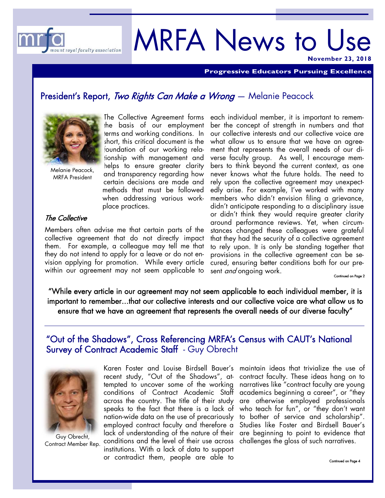

# MRFA News to Use **November 23, 2018**

**Progressive Educators Pursuing Excellence** 

### President's Report, Two Rights Can Make a Wrong - Melanie Peacock



Melanie Peacock, MRFA President

The Collective Agreement forms the basis of our employment terms and working conditions. In short, this critical document is the foundation of our working relationship with management and helps to ensure greater clarity and transparency regarding how certain decisions are made and methods that must be followed when addressing various workplace practices.

### The Collective

Members often advise me that certain parts of the collective agreement that do not directly impact them. For example, a colleague may tell me that they do not intend to apply for a leave or do not envision applying for promotion. While every article

each individual member, it is important to remember the concept of strength in numbers and that our collective interests and our collective voice are what allow us to ensure that we have an agreement that represents the overall needs of our diverse faculty group. As well, I encourage members to think beyond the current context, as one never knows what the future holds. The need to rely upon the collective agreement may unexpectedly arise. For example, I've worked with many members who didn't envision filing a grievance, didn't anticipate responding to a disciplinary issue or didn't think they would require greater clarity around performance reviews. Yet, when circumstances changed these colleagues were grateful that they had the security of a collective agreement to rely upon. It is only be standing together that provisions in the collective agreement can be secured, ensuring better conditions both for our present *and* ongoing work. within our agreement may not seem applicable to sent *and* ongoing work.

"While every article in our agreement may not seem applicable to each individual member, it is important to remember...that our collective interests and our collective voice are what allow us to ensure that we have an agreement that represents the overall needs of our diverse faculty"

### "Out of the Shadows", Cross Referencing MRFA's Census with CAUT's National Survey of Contract Academic Staff - Guy Obrecht



Guy Obrecht, Contract Member Rep.

lack of understanding of the nature of their are beginning to point to evidence that conditions and the level of their use across  $\,$  challenges the gloss of such narratives.  $\,$ Karen Foster and Louise Birdsell Bauer's recent study, "Out of the Shadows", attempted to uncover some of the working conditions of Contract Academic Staff across the country. The title of their study speaks to the fact that there is a lack of nation-wide data on the use of precariously employed contract faculty and therefore a institutions. With a lack of data to support or contradict them, people are able to

maintain ideas that trivialize the use of contract faculty. These ideas hang on to narratives like "contract faculty are young academics beginning a career", or "they are otherwise employed professionals who teach for fun", or "they don't want to bother of service and scholarship". Studies like Foster and Birdsell Bauer's

Continued on Page 4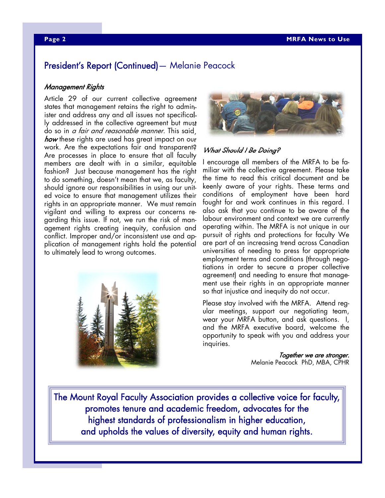### President's Report (Continued)— Melanie Peacock

#### Management Rights

Article 29 of our current collective agreement states that management retains the right to administer and address any and all issues not specifically addressed in the collective agreement but must do so in a fair and reasonable manner. This said, how these rights are used has great impact on our work. Are the expectations fair and transparent? Are processes in place to ensure that all faculty members are dealt with in a similar, equitable fashion? Just because management has the right to do something, doesn't mean that we, as faculty, should ignore our responsibilities in using our united voice to ensure that management utilizes their rights in an appropriate manner. We must remain vigilant and willing to express our concerns regarding this issue. If not, we run the risk of management rights creating inequity, confusion and conflict. Improper and/or inconsistent use and application of management rights hold the potential to ultimately lead to wrong outcomes.





#### What Should I Be Doing?

I encourage all members of the MRFA to be familiar with the collective agreement. Please take the time to read this critical document and be keenly aware of your rights. These terms and conditions of employment have been hard fought for and work continues in this regard. I also ask that you continue to be aware of the labour environment and context we are currently operating within. The MRFA is not unique in our pursuit of rights and protections for faculty We are part of an increasing trend across Canadian universities of needing to press for appropriate employment terms and conditions (through negotiations in order to secure a proper collective agreement) and needing to ensure that management use their rights in an appropriate manner so that injustice and inequity do not occur.

Please stay involved with the MRFA. Attend regular meetings, support our negotiating team, wear your MRFA button, and ask questions. I, and the MRFA executive board, welcome the opportunity to speak with you and address your inquiries.

> Together we are stronger. Melanie Peacock PhD, MBA, CPHR

The Mount Royal Faculty Association provides a collective voice for faculty, promotes tenure and academic freedom, advocates for the highest standards of professionalism in higher education, and upholds the values of diversity, equity and human rights.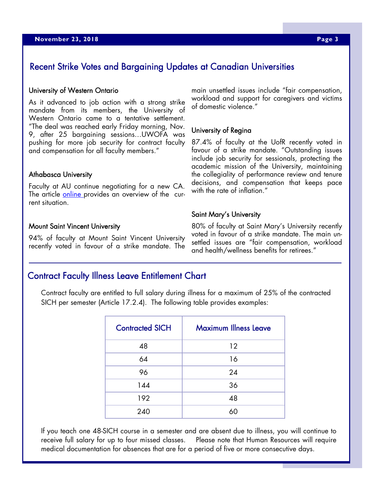### Recent Strike Votes and Bargaining Updates at Canadian Universities

#### University of Western Ontario

As it advanced to job action with a strong strike mandate from its members, the University of Western Ontario came to a tentative settlement. "The deal was reached early Friday morning, Nov. 9, after 25 bargaining sessions…UWOFA was pushing for more job security for contract faculty and compensation for all faculty members."

#### Athabasca University

Faculty at AU continue negotiating for a new CA. The article online provides an overview of the current situation.

#### Mount Saint Vincent University

94% of faculty at Mount Saint Vincent University recently voted in favour of a strike mandate. The

main unsettled issues include "fair compensation, workload and support for caregivers and victims of domestic violence."

#### University of Regina

87.4% of faculty at the UofR recently voted in favour of a strike mandate. "Outstanding issues include job security for sessionals, protecting the academic mission of the University, maintaining the collegiality of performance review and tenure decisions, and compensation that keeps pace with the rate of inflation."

#### Saint Mary's University

80% of faculty at Saint Mary's University recently voted in favour of a strike mandate. The main unsettled issues are "fair compensation, workload and health/wellness benefits for retirees."

### Contract Faculty Illness Leave Entitlement Chart

Contract faculty are entitled to full salary during illness for a maximum of 25% of the contracted SICH per semester (Article 17.2.4). The following table provides examples:

| <b>Contracted SICH</b> | <b>Maximum Illness Leave</b> |
|------------------------|------------------------------|
| 48                     | 12                           |
| 64                     | 16                           |
| 96                     | 24                           |
| 144                    | 36                           |
| 192                    | 48                           |
| 240                    | ሪስ                           |

If you teach one 48-SICH course in a semester and are absent due to illness, you will continue to receive full salary for up to four missed classes. Please note that Human Resources will require medical documentation for absences that are for a period of five or more consecutive days.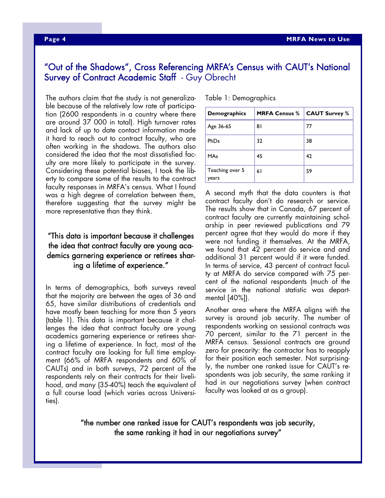### "Out of the Shadows", Cross Referencing MRFA's Census with CAUT's National Survey of Contract Academic Staff - Guy Obrecht

The authors claim that the study is not generalizable because of the relatively low rate of participation (2600 respondents in a country where there are around 37 000 in total). High turnover rates and lack of up to date contact information made it hard to reach out to contract faculty, who are often working in the shadows. The authors also considered the idea that the most dissatisfied faculty are more likely to participate in the survey. Considering these potential biases, I took the liberty to compare some of the results to the contract faculty responses in MRFA's census. What I found was a high degree of correlation between them, therefore suggesting that the survey might be more representative than they think.

### "This data is important because it challenges the idea that contract faculty are young academics garnering experience or retirees sharing a lifetime of experience."

In terms of demographics, both surveys reveal that the majority are between the ages of 36 and 65, have similar distributions of credentials and have mostly been teaching for more than 5 years (table 1). This data is important because it challenges the idea that contract faculty are young academics garnering experience or retirees sharing a lifetime of experience. In fact, most of the contract faculty are looking for full time employment (66% of MRFA respondents and 60% of CAUTs) and in both surveys, 72 percent of the respondents rely on their contracts for their livelihood, and many (35-40%) teach the equivalent of a full course load (which varies across Universities).

Table 1: Demographics

| <b>Demographics</b>      | <b>MRFA Census %</b> | <b>CAUT Survey %</b> |
|--------------------------|----------------------|----------------------|
| Age 36-65                | 81                   | 77                   |
| PhDs                     | 32                   | 38                   |
| <b>MAs</b>               | 45                   | 42                   |
| Teaching over 5<br>years | 61                   | 59                   |

A second myth that the data counters is that contract faculty don't do research or service. The results show that in Canada, 67 percent of contract faculty are currently maintaining scholarship in peer reviewed publications and 79 percent agree that they would do more if they were not funding it themselves. At the MRFA, we found that 42 percent do service and and additional 31 percent would if it were funded. In terms of service, 43 percent of contract faculty at MRFA do service compared with 75 percent of the national respondents (much of the service in the national statistic was departmental [40%]).

Another area where the MRFA aligns with the survey is around job security. The number of respondents working on sessional contracts was 70 percent, similar to the 71 percent in the MRFA census. Sessional contracts are ground zero for precarity: the contractor has to reapply for their position each semester. Not surprisingly, the number one ranked issue for CAUT's respondents was job security, the same ranking it had in our negotiations survey (when contract faculty was looked at as a group).

"the number one ranked issue for CAUT's respondents was job security, the same ranking it had in our negotiations survey"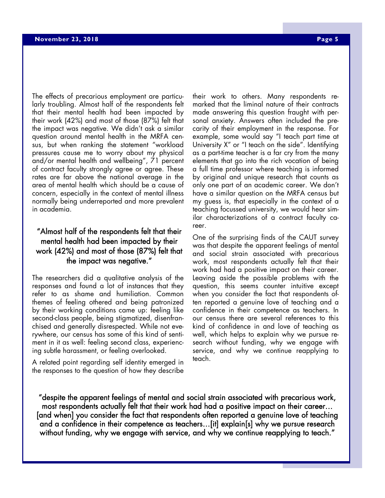The effects of precarious employment are particularly troubling. Almost half of the respondents felt that their mental health had been impacted by their work (42%) and most of those (87%) felt that the impact was negative. We didn't ask a similar question around mental health in the MRFA census, but when ranking the statement "workload pressures cause me to worry about my physical and/or mental health and wellbeing", 71 percent of contract faculty strongly agree or agree. These rates are far above the national average in the area of mental health which should be a cause of concern, especially in the context of mental illness normally being underreported and more prevalent in academia.

### "Almost half of the respondents felt that their mental health had been impacted by their work (42%) and most of those (87%) felt that the impact was negative."

The researchers did a qualitative analysis of the responses and found a lot of instances that they refer to as shame and humiliation. Common themes of feeling othered and being patronized by their working conditions came up: feeling like second-class people, being stigmatized, disenfranchised and generally disrespected. While not everywhere, our census has some of this kind of sentiment in it as well: feeling second class, experiencing subtle harassment, or feeling overlooked.

A related point regarding self identity emerged in the responses to the question of how they describe their work to others. Many respondents remarked that the liminal nature of their contracts made answering this question fraught with personal anxiety. Answers often included the precarity of their employment in the response. For example, some would say "I teach part time at University X" or "I teach on the side". Identifying as a part-time teacher is a far cry from the many elements that go into the rich vocation of being a full time professor where teaching is informed by original and unique research that counts as only one part of an academic career. We don't have a similar question on the MRFA census but my guess is, that especially in the context of a teaching focussed university, we would hear similar characterizations of a contract faculty career.

One of the surprising finds of the CAUT survey was that despite the apparent feelings of mental and social strain associated with precarious work, most respondents actually felt that their work had had a positive impact on their career. Leaving aside the possible problems with the question, this seems counter intuitive except when you consider the fact that respondents often reported a genuine love of teaching and a confidence in their competence as teachers. In our census there are several references to this kind of confidence in and love of teaching as well, which helps to explain why we pursue research without funding, why we engage with service, and why we continue reapplying to teach.

"despite the apparent feelings of mental and social strain associated with precarious work, most respondents actually felt that their work had had a positive impact on their career… [and when] you consider the fact that respondents often reported a genuine love of teaching and a confidence in their competence as teachers…[it] explain[s] why we pursue research without funding, why we engage with service, and why we continue reapplying to teach."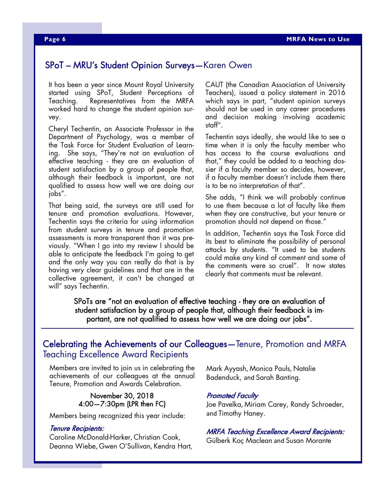### SPoT – MRU's Student Opinion Surveys—Karen Owen

It has been a year since Mount Royal University started using SPoT, Student Perceptions of Teaching. Representatives from the MRFA worked hard to change the student opinion survey.

Cheryl Techentin, an Associate Professor in the Department of Psychology, was a member of the Task Force for Student Evaluation of Learning. She says, "They're not an evaluation of effective teaching - they are an evaluation of student satisfaction by  $\alpha$  group of people that, although their feedback is important, are not qualified to assess how well we are doing our jobs".

That being said, the surveys are still used for tenure and promotion evaluations. However, Techentin says the criteria for using information from student surveys in tenure and promotion assessments is more transparent than it was previously. "When I go into my review I should be able to anticipate the feedback I'm going to get and the only way you can really do that is by having very clear guidelines and that are in the collective agreement, it can't be changed at will" says Techentin.

CAUT (the Canadian Association of University Teachers), issued a policy statement in 2016 which says in part, "student opinion surveys should not be used in any career procedures and decision making involving academic staff".

Techentin says ideally, she would like to see a time when it is only the faculty member who has access to the course evaluations and that," they could be added to a teaching dossier if a faculty member so decides, however, if a faculty member doesn't include them there is to be no interpretation of that".

She adds, "I think we will probably continue to use them because a lot of faculty like them when they are constructive, but your tenure or promotion should not depend on those."

In addition, Techentin says the Task Force did its best to eliminate the possibility of personal attacks by students. "It used to be students could make any kind of comment and some of the comments were so cruel". It now states clearly that comments must be relevant.

SPoTs are "not an evaluation of effective teaching - they are an evaluation of student satisfaction by a group of people that, although their feedback is important, are not qualified to assess how well we are doing our jobs".

### Celebrating the Achievements of our Colleagues—Tenure, Promotion and MRFA Teaching Excellence Award Recipients

Members are invited to join us in celebrating the achievements of our colleagues at the annual Tenure, Promotion and Awards Celebration.

#### November 30, 2018 4:00—7:30pm (LPR then FC)

Members being recognized this year include:

#### Tenure Recipients:

Caroline McDonald-Harker, Christian Cook, Deanna Wiebe, Gwen O'Sullivan, Kendra Hart, Mark Ayyash, Monica Pauls, Natalie Badenduck, and Sarah Banting.

#### Promoted Faculty

Joe Pavelka, Miriam Carey, Randy Schroeder, and Timothy Haney.

#### MRFA Teaching Excellence Award Recipients:

Gülberk Koç Maclean and Susan Morante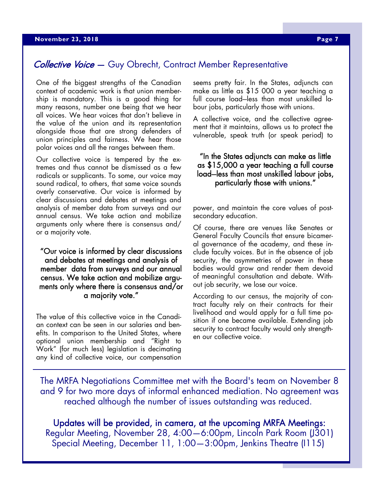### Collective Voice - Guy Obrecht, Contract Member Representative

One of the biggest strengths of the Canadian context of academic work is that union membership is mandatory. This is a good thing for many reasons, number one being that we hear all voices. We hear voices that don't believe in the value of the union and its representation alongside those that are strong defenders of union principles and fairness. We hear those polar voices and all the ranges between them.

Our collective voice is tempered by the extremes and thus cannot be dismissed as a few radicals or supplicants. To some, our voice may sound radical, to others, that same voice sounds overly conservative. Our voice is informed by clear discussions and debates at meetings and analysis of member data from surveys and our annual census. We take action and mobilize arguments only where there is consensus and/ or a majority vote.

"Our voice is informed by clear discussions and debates at meetings and analysis of member data from surveys and our annual census. We take action and mobilize arguments only where there is consensus and/or a majority vote."

The value of this collective voice in the Canadian context can be seen in our salaries and benefits. In comparison to the United States, where optional union membership and "Right to Work" (for much less) legislation is decimating any kind of collective voice, our compensation

seems pretty fair. In the States, adjuncts can make as little as \$15 000 a year teaching a full course load-less than most unskilled labour jobs, particularly those with unions.

A collective voice, and the collective agreement that it maintains, allows us to protect the vulnerable, speak truth (or speak period) to

### "In the States adjuncts can make as little as \$15,000 a year teaching a full course load-less than most unskilled labour jobs, particularly those with unions."

power, and maintain the core values of postsecondary education.

Of course, there are venues like Senates or General Faculty Councils that ensure bicameral governance of the academy, and these include faculty voices. But in the absence of job security, the asymmetries of power in these bodies would grow and render them devoid of meaningful consultation and debate. Without job security, we lose our voice.

According to our census, the majority of contract faculty rely on their contracts for their livelihood and would apply for a full time position if one became available. Extending job security to contract faculty would only strengthen our collective voice.

The MRFA Negotiations Committee met with the Board's team on November 8 and 9 for two more days of informal enhanced mediation. No agreement was reached although the number of issues outstanding was reduced.

Updates will be provided, in camera, at the upcoming MRFA Meetings: Regular Meeting, November 28, 4:00—6:00pm, Lincoln Park Room (J301) Special Meeting, December 11, 1:00—3:00pm, Jenkins Theatre (I115)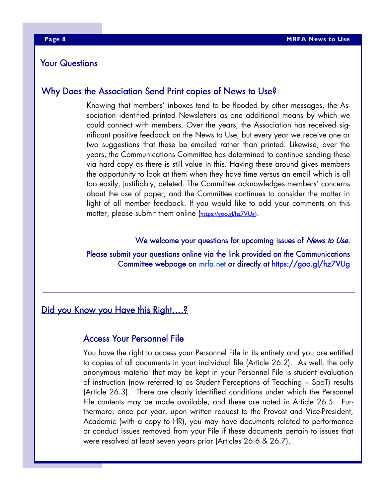### Your Questions

### Why Does the Association Send Print copies of News to Use?

Knowing that members' inboxes tend to be flooded by other messages, the Association identified printed Newsletters as one additional means by which we could connect with members. Over the years, the Association has received significant positive feedback on the News to Use, but every year we receive one or two suggestions that these be emailed rather than printed. Likewise, over the years, the Communications Committee has determined to continue sending these via hard copy as there is still value in this. Having these around gives members the opportunity to look at them when they have time versus an email which is all too easily, justifiably, deleted. The Committee acknowledges members' concerns about the use of paper, and the Committee continues to consider the matter in light of all member feedback. If you would like to add your comments on this matter, please submit them online (https://goo.gl/hz7VUg).

#### We welcome your questions for upcoming issues of News to Use.

Please submit your questions online via the link provided on the Communications Committee webpage on mrfa.net or directly at https://goo.gl/hz7VUg

## Did you Know you Have this Right....?

### Access Your Personnel File

You have the right to access your Personnel File in its entirety and you are entitled to copies of all documents in your individual file (Article 26.2). As well, the only anonymous material that may be kept in your Personnel File is student evaluation of instruction (now referred to as Student Perceptions of Teaching – SpoT) results (Article 26.3). There are clearly identified conditions under which the Personnel File contents may be made available, and these are noted in Article 26.5. Furthermore, once per year, upon written request to the Provost and Vice-President, Academic (with a copy to HR), you may have documents related to performance or conduct issues removed from your File if these documents pertain to issues that were resolved at least seven years prior (Articles 26.6 & 26.7).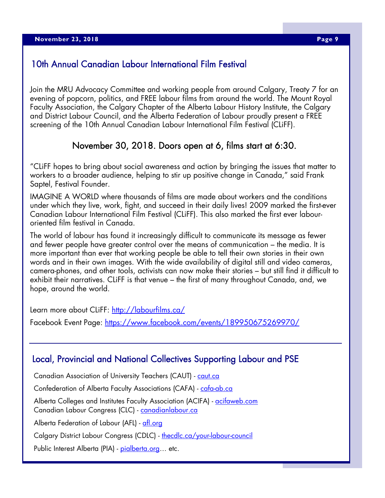### 10th Annual Canadian Labour International Film Festival

Join the MRU Advocacy Committee and working people from around Calgary, Treaty 7 for an evening of popcorn, politics, and FREE labour films from around the world. The Mount Royal Faculty Association, the Calgary Chapter of the Alberta Labour History Institute, the Calgary and District Labour Council, and the Alberta Federation of Labour proudly present a FREE screening of the 10th Annual Canadian Labour International Film Festival (CLiFF).

### November 30, 2018. Doors open at 6, films start at 6:30.

"CLiFF hopes to bring about social awareness and action by bringing the issues that matter to workers to a broader audience, helping to stir up positive change in Canada," said Frank Saptel, Festival Founder.

IMAGINE A WORLD where thousands of films are made about workers and the conditions under which they live, work, fight, and succeed in their daily lives! 2009 marked the first-ever Canadian Labour International Film Festival (CLiFF). This also marked the first ever labouroriented film festival in Canada.

The world of labour has found it increasingly difficult to communicate its message as fewer and fewer people have greater control over the means of communication – the media. It is more important than ever that working people be able to tell their own stories in their own words and in their own images. With the wide availability of digital still and video cameras, camera-phones, and other tools, activists can now make their stories – but still find it difficult to exhibit their narratives. CLiFF is that venue – the first of many throughout Canada, and, we hope, around the world.

Learn more about CLiFF: http://labourfilms.ca/

Facebook Event Page: https://www.facebook.com/events/189950675269970/

### Local, Provincial and National Collectives Supporting Labour and PSE

Canadian Association of University Teachers (CAUT) - caut.ca

Confederation of Alberta Faculty Associations (CAFA) - cafa-ab.ca

Alberta Colleges and Institutes Faculty Association (ACIFA) - acifaweb.com Canadian Labour Congress (CLC) - canadianlabour.ca

Alberta Federation of Labour (AFL) - afl.org

Calgary District Labour Congress (CDLC) - thecdlc.ca/your-labour-council

Public Interest Alberta (PIA) - pialberta.org... etc.